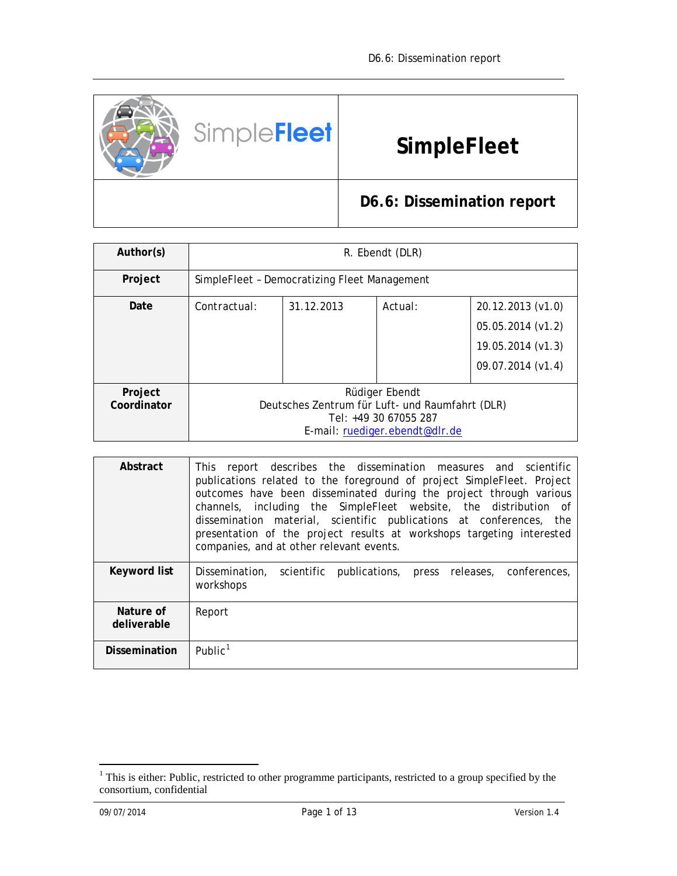

| Author(s)              | R. Ebendt (DLR)                                                                                                              |            |         |                                                                                  |  |  |  |  |  |
|------------------------|------------------------------------------------------------------------------------------------------------------------------|------------|---------|----------------------------------------------------------------------------------|--|--|--|--|--|
| Project                | SimpleFleet - Democratizing Fleet Management                                                                                 |            |         |                                                                                  |  |  |  |  |  |
| Date                   | Contractual:                                                                                                                 | 31.12.2013 | Actual: | 20.12.2013 (v1.0)<br>05.05.2014 (v1.2)<br>19.05.2014 (v1.3)<br>09.07.2014 (v1.4) |  |  |  |  |  |
|                        |                                                                                                                              |            |         |                                                                                  |  |  |  |  |  |
| Project<br>Coordinator | Rüdiger Ebendt<br>Deutsches Zentrum für Luft- und Raumfahrt (DLR)<br>Tel: +49 30 67055 287<br>E-mail: ruediger.ebendt@dlr.de |            |         |                                                                                  |  |  |  |  |  |

| Abstract                 | This report describes the dissemination measures and scientific<br>publications related to the foreground of project SimpleFleet. Project<br>outcomes have been disseminated during the project through various<br>channels, including the SimpleFleet website, the distribution of<br>dissemination material, scientific publications at conferences, the<br>presentation of the project results at workshops targeting interested<br>companies, and at other relevant events. |
|--------------------------|---------------------------------------------------------------------------------------------------------------------------------------------------------------------------------------------------------------------------------------------------------------------------------------------------------------------------------------------------------------------------------------------------------------------------------------------------------------------------------|
| Keyword list             | Dissemination, scientific publications, press releases, conferences,<br>workshops                                                                                                                                                                                                                                                                                                                                                                                               |
| Nature of<br>deliverable | Report                                                                                                                                                                                                                                                                                                                                                                                                                                                                          |
| <b>Dissemination</b>     | Public <sup>1</sup>                                                                                                                                                                                                                                                                                                                                                                                                                                                             |

<span id="page-0-0"></span><sup>&</sup>lt;sup>1</sup> This is either: Public, restricted to other programme participants, restricted to a group specified by the consortium, confidential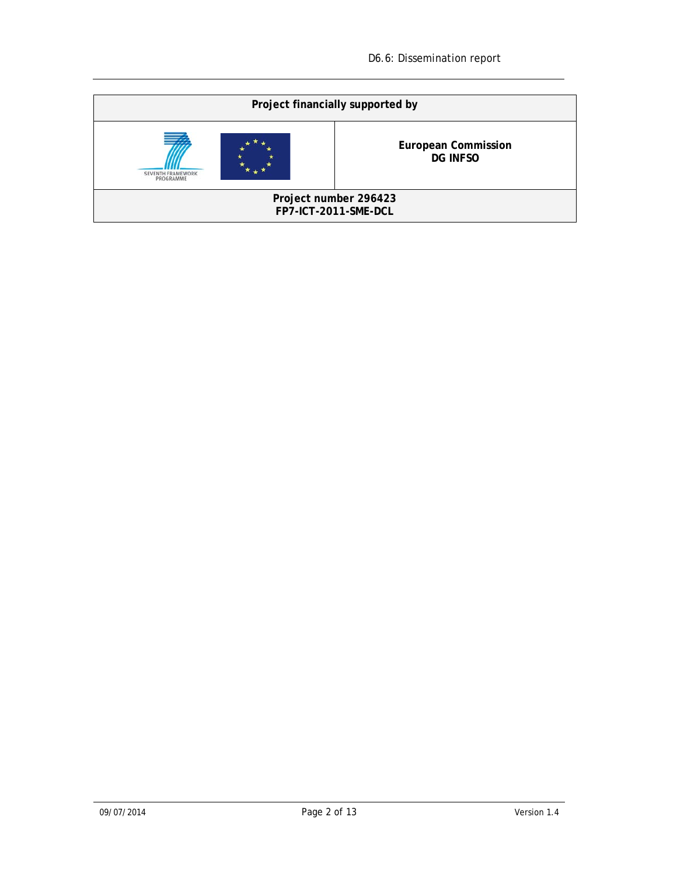| Project financially supported by              |                                               |  |  |  |  |  |  |
|-----------------------------------------------|-----------------------------------------------|--|--|--|--|--|--|
| SEVENTH FRAMEWORK<br>PROGRAMME                | <b>European Commission</b><br><b>DG INFSO</b> |  |  |  |  |  |  |
| Project number 296423<br>FP7-ICT-2011-SME-DCL |                                               |  |  |  |  |  |  |
|                                               |                                               |  |  |  |  |  |  |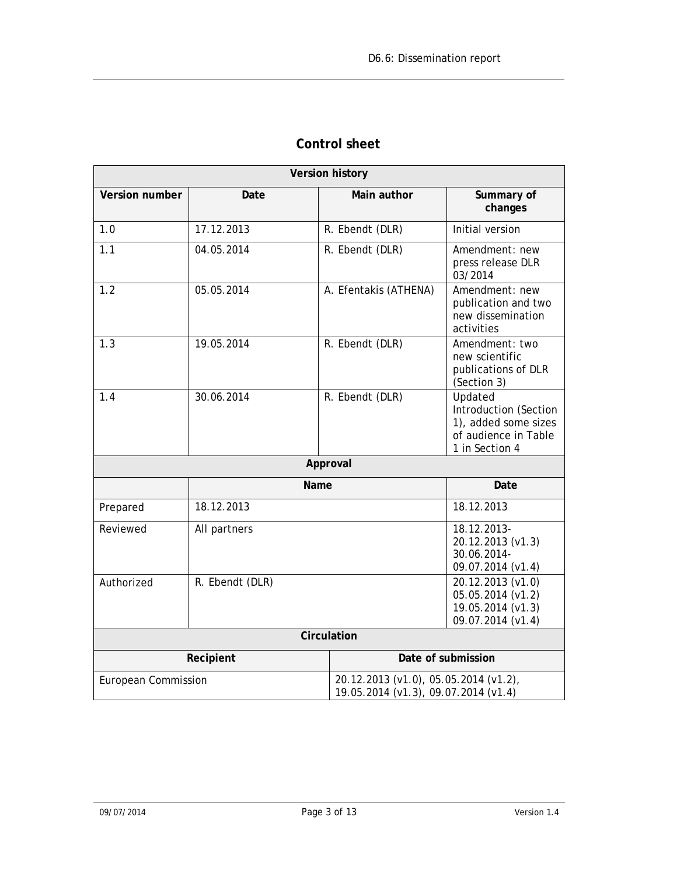|                     | <b>Version history</b> |                                                                                  |                                                                                                    |  |  |  |  |
|---------------------|------------------------|----------------------------------------------------------------------------------|----------------------------------------------------------------------------------------------------|--|--|--|--|
| Version number      | Date                   | Main author                                                                      | Summary of<br>changes                                                                              |  |  |  |  |
| 1.0                 | 17.12.2013             | R. Ebendt (DLR)                                                                  | Initial version                                                                                    |  |  |  |  |
| 1.1                 | 04.05.2014             | R. Ebendt (DLR)                                                                  | Amendment: new<br>press release DLR<br>03/2014                                                     |  |  |  |  |
| 1.2                 | 05.05.2014             | A. Efentakis (ATHENA)                                                            | Amendment: new<br>publication and two<br>new dissemination<br>activities                           |  |  |  |  |
| 1.3                 | 19.05.2014             | R. Ebendt (DLR)                                                                  | Amendment: two<br>new scientific<br>publications of DLR<br>(Section 3)                             |  |  |  |  |
| 1.4                 | 30.06.2014             | R. Ebendt (DLR)                                                                  | Updated<br>Introduction (Section<br>1), added some sizes<br>of audience in Table<br>1 in Section 4 |  |  |  |  |
|                     |                        | Approval                                                                         |                                                                                                    |  |  |  |  |
|                     | Name                   |                                                                                  | Date                                                                                               |  |  |  |  |
| Prepared            | 18.12.2013             |                                                                                  | 18.12.2013                                                                                         |  |  |  |  |
| Reviewed            | All partners           |                                                                                  | 18.12.2013-<br>20.12.2013 (v1.3)<br>30.06.2014-<br>09.07.2014 (v1.4)                               |  |  |  |  |
| Authorized          | R. Ebendt (DLR)        | 20.12.2013 (v1.0)<br>05.05.2014 (v1.2)<br>19.05.2014 (v1.3)<br>09.07.2014 (v1.4) |                                                                                                    |  |  |  |  |
|                     |                        | Circulation                                                                      |                                                                                                    |  |  |  |  |
|                     | Recipient              |                                                                                  | Date of submission                                                                                 |  |  |  |  |
| European Commission |                        | 20.12.2013 (v1.0), 05.05.2014 (v1.2),<br>19.05.2014 (v1.3), 09.07.2014 (v1.4)    |                                                                                                    |  |  |  |  |

# **Control sheet**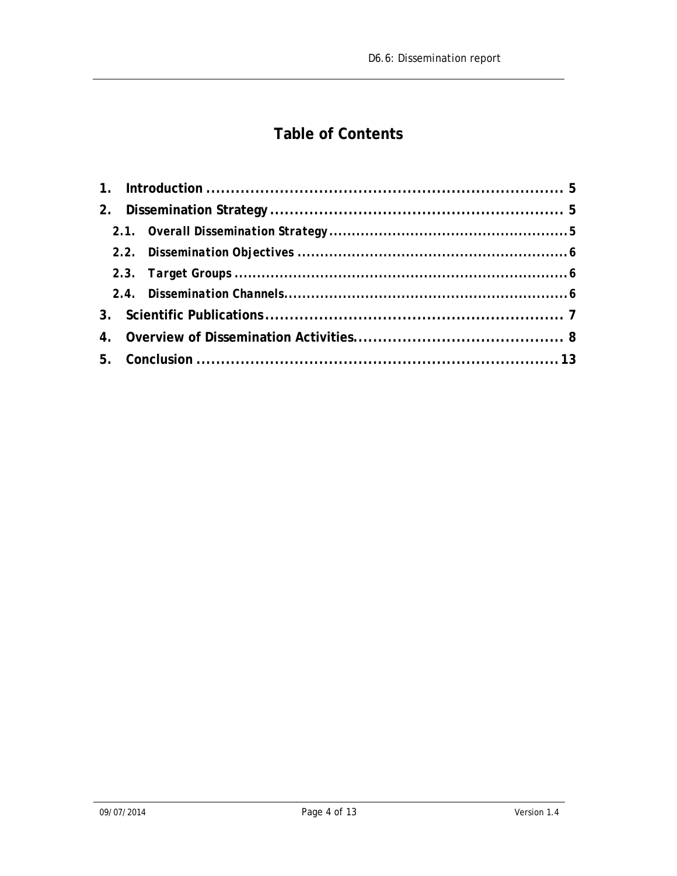# **Table of Contents**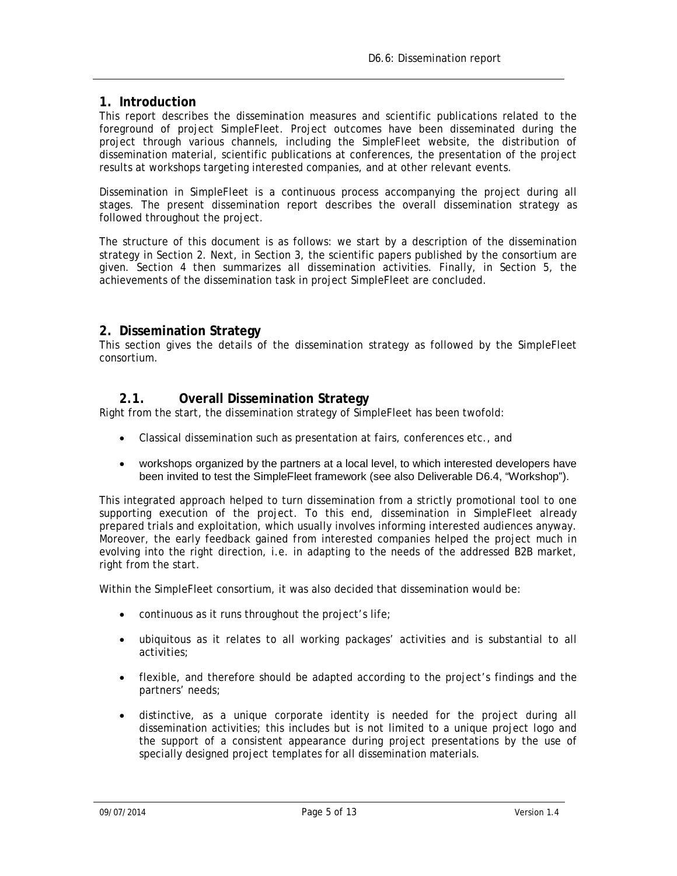#### <span id="page-4-0"></span>**1. Introduction**

This report describes the dissemination measures and scientific publications related to the foreground of project SimpleFleet. Project outcomes have been disseminated during the project through various channels, including the SimpleFleet website, the distribution of dissemination material, scientific publications at conferences, the presentation of the project results at workshops targeting interested companies, and at other relevant events.

Dissemination in SimpleFleet is a continuous process accompanying the project during all stages. The present dissemination report describes the overall dissemination strategy as followed throughout the project.

The structure of this document is as follows: we start by a description of the dissemination strategy in Section [2.](#page-4-1) Next, in Section [3,](#page-6-0) the scientific papers published by the consortium are given. Section [4](#page-7-0) then summarizes all dissemination activities. Finally, in Section [5,](#page-12-0) the achievements of the dissemination task in project SimpleFleet are concluded.

### <span id="page-4-1"></span>**2. Dissemination Strategy**

This section gives the details of the dissemination strategy as followed by the SimpleFleet consortium.

### **2.1. Overall Dissemination Strategy**

<span id="page-4-2"></span>Right from the start, the dissemination strategy of SimpleFleet has been twofold:

- Classical dissemination such as presentation at fairs, conferences etc., and
- workshops organized by the partners at a local level, to which interested developers have been invited to test the SimpleFleet framework (see also Deliverable D6.4, "Workshop").

This integrated approach helped to turn dissemination from a strictly promotional tool to one supporting execution of the project. To this end, dissemination in SimpleFleet already prepared trials and exploitation, which usually involves informing interested audiences anyway. Moreover, the early feedback gained from interested companies helped the project much in evolving into the right direction, i.e. in adapting to the needs of the addressed B2B market, right from the start.

Within the SimpleFleet consortium, it was also decided that dissemination would be:

- continuous as it runs throughout the project's life;
- ubiquitous as it relates to all working packages' activities and is substantial to all activities;
- flexible, and therefore should be adapted according to the project's findings and the partners' needs;
- distinctive, as a unique corporate identity is needed for the project during all dissemination activities; this includes but is not limited to a unique project logo and the support of a consistent appearance during project presentations by the use of specially designed project templates for all dissemination materials.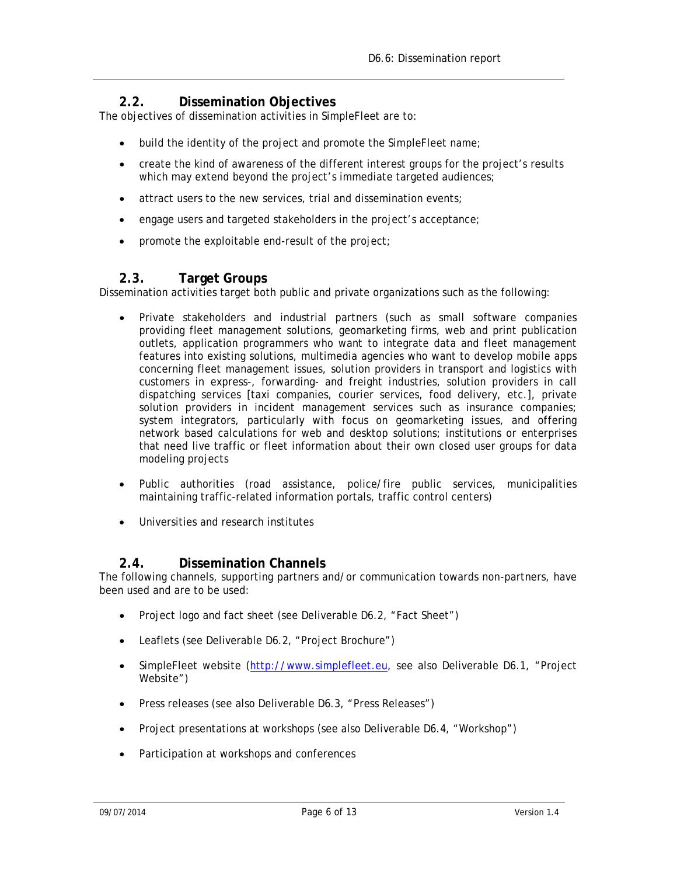# **2.2. Dissemination Objectives**

<span id="page-5-0"></span>The objectives of dissemination activities in SimpleFleet are to:

- build the identity of the project and promote the SimpleFleet name;
- create the kind of awareness of the different interest groups for the project's results which may extend beyond the project's immediate targeted audiences;
- attract users to the new services, trial and dissemination events;
- engage users and targeted stakeholders in the project's acceptance;
- promote the exploitable end-result of the project;

# **2.3. Target Groups**

<span id="page-5-1"></span>Dissemination activities target both public and private organizations such as the following:

- Private stakeholders and industrial partners (such as small software companies providing fleet management solutions, geomarketing firms, web and print publication outlets, application programmers who want to integrate data and fleet management features into existing solutions, multimedia agencies who want to develop mobile apps concerning fleet management issues, solution providers in transport and logistics with customers in express-, forwarding- and freight industries, solution providers in call dispatching services [taxi companies, courier services, food delivery, etc.], private solution providers in incident management services such as insurance companies; system integrators, particularly with focus on geomarketing issues, and offering network based calculations for web and desktop solutions; institutions or enterprises that need live traffic or fleet information about their own closed user groups for data modeling projects
- Public authorities (road assistance, police/fire public services, municipalities maintaining traffic-related information portals, traffic control centers)
- Universities and research institutes

### **2.4. Dissemination Channels**

<span id="page-5-2"></span>The following channels, supporting partners and/or communication towards non-partners, have been used and are to be used:

- Project logo and fact sheet (see Deliverable D6.2, "Fact Sheet")
- Leaflets (see Deliverable D6.2, "Project Brochure")
- SimpleFleet website [\(http://www.simplefleet.eu,](http://www.simplefleet.eu/) see also Deliverable D6.1, "Project Website")
- Press releases (see also Deliverable D6.3, "Press Releases")
- Project presentations at workshops (see also Deliverable D6.4, "Workshop")
- Participation at workshops and conferences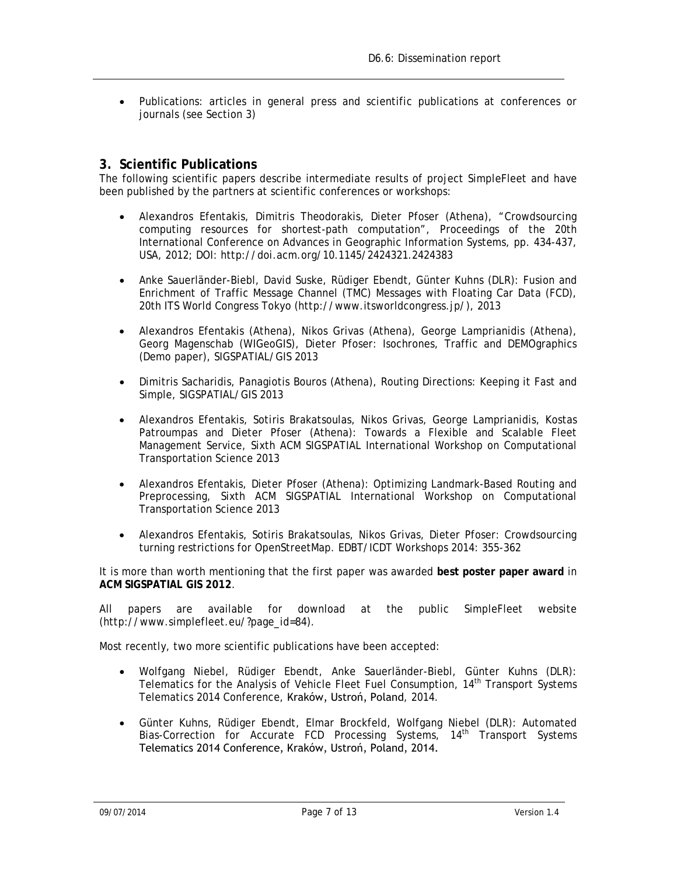• Publications: articles in general press and scientific publications at conferences or journals (see Section [3\)](#page-6-0)

#### <span id="page-6-0"></span>**3. Scientific Publications**

The following scientific papers describe intermediate results of project SimpleFleet and have been published by the partners at scientific conferences or workshops:

- Alexandros Efentakis, Dimitris Theodorakis, Dieter Pfoser (Athena), "Crowdsourcing computing resources for shortest-path computation", Proceedings of the 20th International Conference on Advances in Geographic Information Systems, pp. 434-437, USA, 2012; DOI: http://doi.acm.org/10.1145/2424321.2424383
- Anke Sauerländer-Biebl, David Suske, Rüdiger Ebendt, Günter Kuhns (DLR): Fusion and Enrichment of Traffic Message Channel (TMC) Messages with Floating Car Data (FCD), 20th ITS World Congress Tokyo (http://www.itsworldcongress.jp/), 2013
- Alexandros Efentakis (Athena), Nikos Grivas (Athena), George Lamprianidis (Athena), Georg Magenschab (WIGeoGIS), Dieter Pfoser: Isochrones, Traffic and DEMOgraphics (Demo paper), SIGSPATIAL/GIS 2013
- Dimitris Sacharidis, Panagiotis Bouros (Athena), Routing Directions: Keeping it Fast and Simple, SIGSPATIAL/GIS 2013
- Alexandros Efentakis, Sotiris Brakatsoulas, Nikos Grivas, George Lamprianidis, Kostas Patroumpas and Dieter Pfoser (Athena): Towards a Flexible and Scalable Fleet Management Service, Sixth ACM SIGSPATIAL International Workshop on Computational Transportation Science 2013
- Alexandros Efentakis, Dieter Pfoser (Athena): Optimizing Landmark-Based Routing and Preprocessing, Sixth ACM SIGSPATIAL International Workshop on Computational Transportation Science 2013
- Alexandros Efentakis, Sotiris Brakatsoulas, Nikos Grivas, Dieter Pfoser: Crowdsourcing turning restrictions for OpenStreetMap. EDBT/ICDT Workshops 2014: 355-362

It is more than worth mentioning that the first paper was awarded **best poster paper award** in **ACM SIGSPATIAL GIS 2012**.

All papers are available for download at the public SimpleFleet website [\(http://www.simplefleet.eu/?page\\_id=84\)](http://www.simplefleet.eu/?page_id=84).

Most recently, two more scientific publications have been accepted:

- Wolfgang Niebel, Rüdiger Ebendt, Anke Sauerländer-Biebl, Günter Kuhns (DLR): Telematics for the Analysis of Vehicle Fleet Fuel Consumption, 14th Transport Systems Telematics 2014 Conference, Kraków, Ustroń, Poland, 2014.
- Günter Kuhns, Rüdiger Ebendt, Elmar Brockfeld, Wolfgang Niebel (DLR): Automated Bias-Correction for Accurate FCD Processing Systems, 14<sup>th</sup> Transport Systems Telematics 2014 Conference, Kraków, Ustroń, Poland, 2014.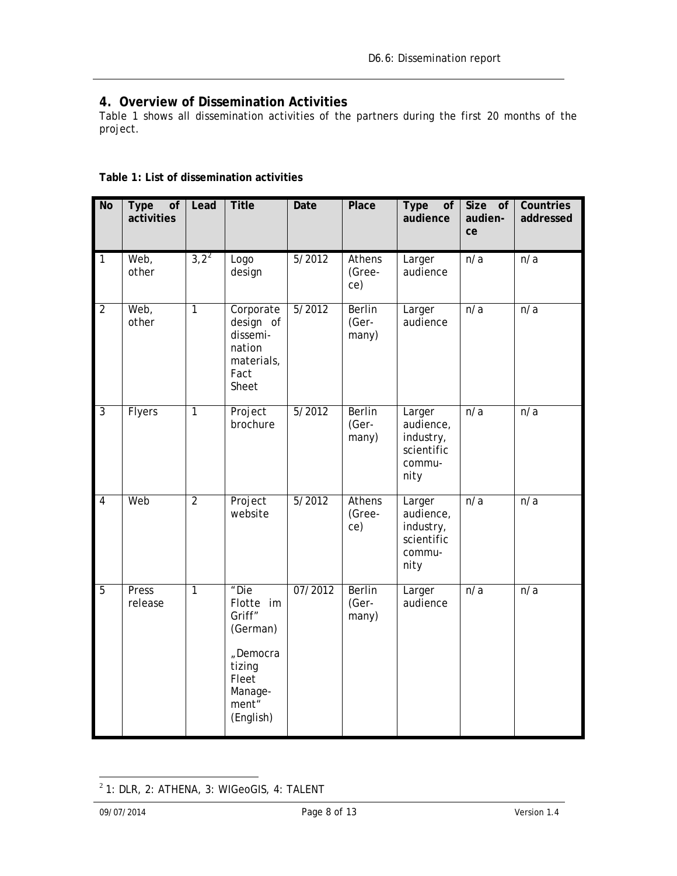# <span id="page-7-0"></span>**4. Overview of Dissemination Activities**

[Table 1](#page-7-1) shows all dissemination activities of the partners during the first 20 months of the project.

<span id="page-7-1"></span>

|  |  |  |  | Table 1: List of dissemination activities |  |
|--|--|--|--|-------------------------------------------|--|
|--|--|--|--|-------------------------------------------|--|

| <b>No</b>      | <b>Type</b><br>of<br>activities | Lead           | <b>Title</b>                                                                                            | Date    | Place                           | <b>Type</b><br>of<br>audience                                    | Size of<br>audien-<br>ce | <b>Countries</b><br>addressed |
|----------------|---------------------------------|----------------|---------------------------------------------------------------------------------------------------------|---------|---------------------------------|------------------------------------------------------------------|--------------------------|-------------------------------|
| $\overline{1}$ | Web,<br>other                   | $3,2^2$        | Logo<br>design                                                                                          | 5/2012  | Athens<br>(Gree-<br>ce)         | Larger<br>audience                                               | n/a                      | n/a                           |
| $\overline{2}$ | Web,<br>other                   | $\overline{1}$ | Corporate<br>design of<br>dissemi-<br>nation<br>materials,<br>Fact<br>Sheet                             | 5/2012  | <b>Berlin</b><br>(Ger-<br>many) | Larger<br>audience                                               | n/a                      | n/a                           |
| $\overline{3}$ | <b>Flyers</b>                   | $\overline{1}$ | Project<br>brochure                                                                                     | 5/2012  | <b>Berlin</b><br>(Ger-<br>many) | Larger<br>audience,<br>industry,<br>scientific<br>commu-<br>nity | n/a                      | n/a                           |
| $\overline{4}$ | Web                             | $\overline{2}$ | Project<br>website                                                                                      | 5/2012  | <b>Athens</b><br>(Gree-<br>ce)  | Larger<br>audience,<br>industry,<br>scientific<br>commu-<br>nity | n/a                      | $\overline{n/a}$              |
| $\overline{5}$ | Press<br>release                | $\overline{1}$ | "Die<br>Flotte im<br>Griff"<br>(German)<br>"Democra<br>tizing<br>Fleet<br>Manage-<br>ment"<br>(English) | 07/2012 | <b>Berlin</b><br>(Ger-<br>many) | Larger<br>audience                                               | n/a                      | n/a                           |

<span id="page-7-2"></span> $2$  1: DLR, 2: ATHENA, 3: WIGeoGIS, 4: TALENT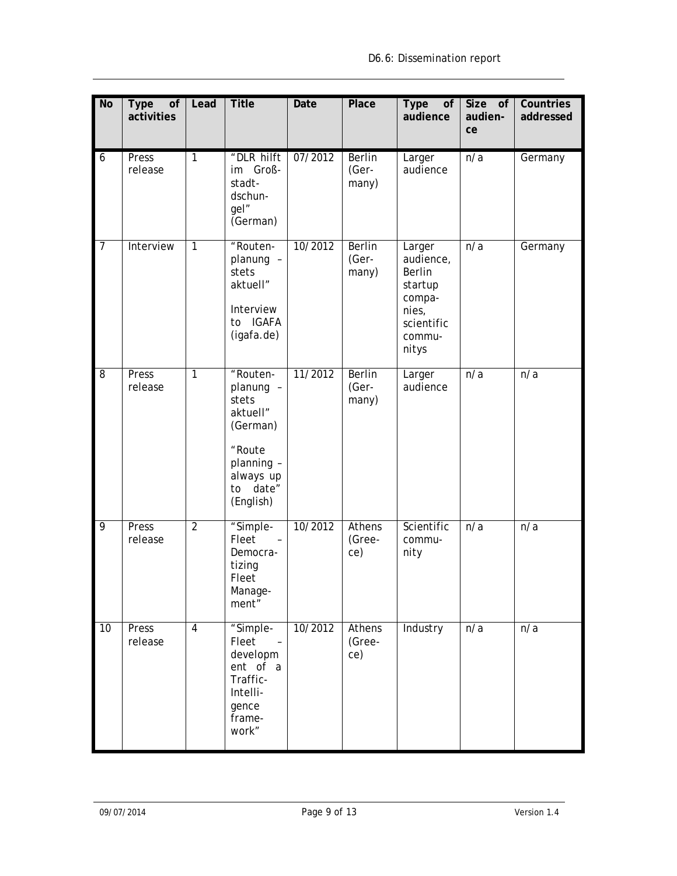| N <sub>o</sub>  | <b>Type</b><br>of<br>activities | Lead           | <b>Title</b>                                                                                                              | <b>Date</b> | <b>Place</b>                    | <b>Type</b><br>of<br>audience                                                                       | Size of<br>audien-<br>ce | Countries<br>addressed |
|-----------------|---------------------------------|----------------|---------------------------------------------------------------------------------------------------------------------------|-------------|---------------------------------|-----------------------------------------------------------------------------------------------------|--------------------------|------------------------|
| 6               | Press<br>release                | $\mathbf{1}$   | "DLR hilft<br>im Groß-<br>stadt-<br>dschun-<br>gel"<br>(German)                                                           | 07/2012     | <b>Berlin</b><br>(Ger-<br>many) | Larger<br>audience                                                                                  | n/a                      | Germany                |
| $\overline{7}$  | Interview                       | $\overline{1}$ | "Routen-<br>planung -<br>stets<br>aktuell"<br>Interview<br>to IGAFA<br>(igafa.de)                                         | 10/2012     | <b>Berlin</b><br>(Ger-<br>many) | Larger<br>audience,<br><b>Berlin</b><br>startup<br>compa-<br>nies,<br>scientific<br>commu-<br>nitys | n/a                      | Germany                |
| 8               | Press<br>release                | $\mathbf{1}$   | "Routen-<br>planung -<br>stets<br>aktuell"<br>(German)<br>"Route<br>planning -<br>always up<br>date"<br>to<br>(English)   | 11/2012     | <b>Berlin</b><br>(Ger-<br>many) | Larger<br>audience                                                                                  | n/a                      | n/a                    |
| 9               | Press<br>release                | $\overline{2}$ | "Simple-<br>Fleet<br>$\sim$<br>Democra-<br>tizing<br>Fleet<br>Manage-<br>ment"                                            | 10/2012     | <b>Athens</b><br>(Gree-<br>ce)  | Scientific<br>commu-<br>nity                                                                        | $\overline{n/a}$         | n/a                    |
| $\overline{10}$ | Press<br>release                | $\overline{4}$ | "Simple-<br>Fleet<br>$\overline{\phantom{a}}$<br>developm<br>ent of a<br>Traffic-<br>Intelli-<br>gence<br>frame-<br>work" | 10/2012     | <b>Athens</b><br>(Gree-<br>ce)  | Industry                                                                                            | n/a                      | n/a                    |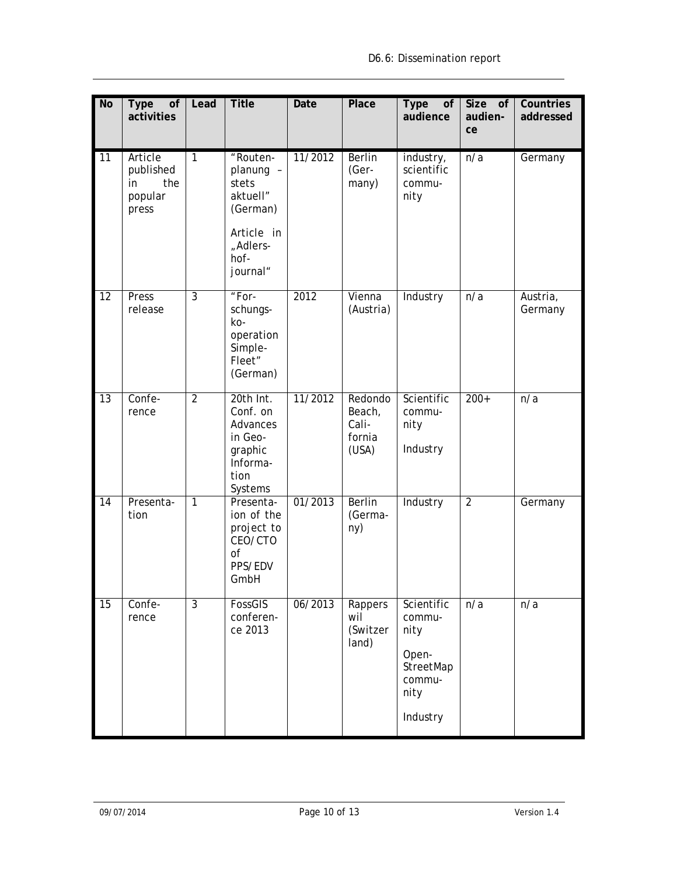| <b>No</b>       | Type<br>of<br>activities                              | Lead           | <b>Title</b>                                                                                         | Date    | <b>Place</b>                                  | <b>Type</b><br>of<br>audience                                                    | Size of<br>audien-<br>ce | Countries<br>addressed |
|-----------------|-------------------------------------------------------|----------------|------------------------------------------------------------------------------------------------------|---------|-----------------------------------------------|----------------------------------------------------------------------------------|--------------------------|------------------------|
| 11              | Article<br>published<br>the<br>in<br>popular<br>press | $\overline{1}$ | "Routen-<br>planung -<br>stets<br>aktuell"<br>(German)<br>Article in<br>"Adlers-<br>hof-<br>journal" | 11/2012 | <b>Berlin</b><br>(Ger-<br>many)               | industry,<br>scientific<br>commu-<br>nity                                        | n/a                      | Germany                |
| 12              | Press<br>release                                      | $\overline{3}$ | "For-<br>schungs-<br>ko-<br>operation<br>Simple-<br>Fleet"<br>(German)                               | 2012    | Vienna<br>(Austria)                           | Industry                                                                         | n/a                      | Austria,<br>Germany    |
| 13              | Confe-<br>rence                                       | $\overline{2}$ | 20th Int.<br>Conf. on<br>Advances<br>in Geo-<br>graphic<br>Informa-<br>tion<br>Systems               | 11/2012 | Redondo<br>Beach,<br>Cali-<br>fornia<br>(USA) | Scientific<br>commu-<br>nity<br>Industry                                         | $200+$                   | n/a                    |
| 14              | Presenta-<br>tion                                     | $\overline{1}$ | Presenta-<br>ion of the<br>project to<br>CEO/CTO<br>0f<br>PPS/EDV<br>GmbH                            | 01/2013 | <b>Berlin</b><br>(Germa-<br>ny)               | Industry                                                                         | $\overline{2}$           | Germany                |
| $\overline{15}$ | Confe-<br>rence                                       | $\overline{3}$ | FossGIS<br>conferen-<br>ce 2013                                                                      | 06/2013 | Rappers<br>wil<br>(Switzer<br>land)           | Scientific<br>commu-<br>nity<br>Open-<br>StreetMap<br>commu-<br>nity<br>Industry | n/a                      | n/a                    |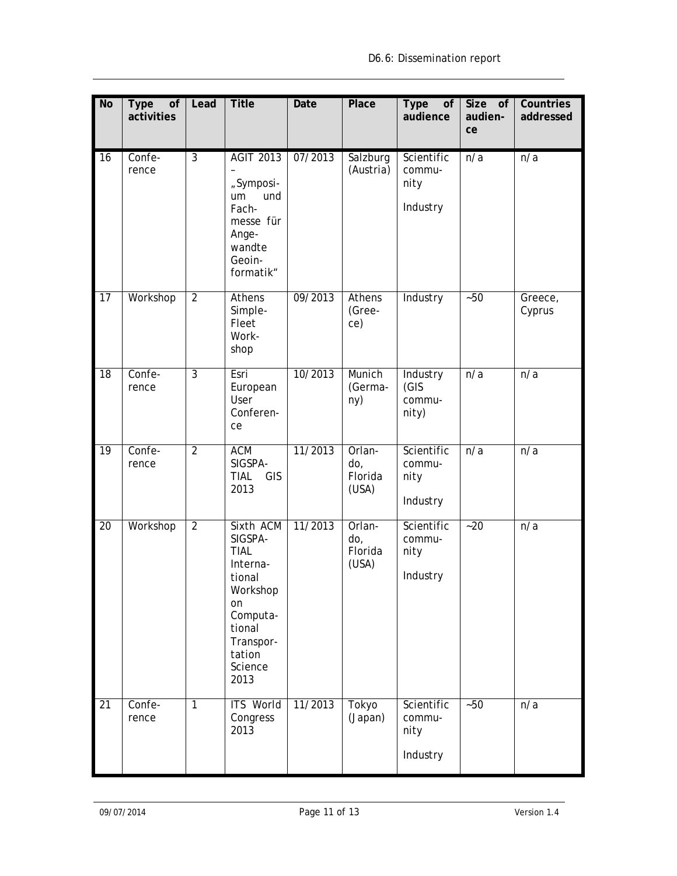| <b>No</b>       | <b>Type</b><br>of<br>activities | Lead           | <b>Title</b>                                                                                                                                | Date    | <b>Place</b>                      | <b>Type</b><br>of<br>audience            | Size of<br>audien-<br>ce | Countries<br>addressed |
|-----------------|---------------------------------|----------------|---------------------------------------------------------------------------------------------------------------------------------------------|---------|-----------------------------------|------------------------------------------|--------------------------|------------------------|
| 16              | Confe-<br>rence                 | $\overline{3}$ | <b>AGIT 2013</b><br>"Symposi-<br>und<br>um<br>Fach-<br>messe für<br>Ange-<br>wandte<br>Geoin-<br>formatik"                                  | 07/2013 | Salzburg<br>(Austria)             | Scientific<br>commu-<br>nity<br>Industry | n/a                      | n/a                    |
| 17              | Workshop                        | $\overline{2}$ | <b>Athens</b><br>Simple-<br>Fleet<br>Work-<br>shop                                                                                          | 09/2013 | <b>Athens</b><br>(Gree-<br>ce)    | Industry                                 | $-50$                    | Greece,<br>Cyprus      |
| 18              | Confe-<br>rence                 | $\overline{3}$ | Esri<br>European<br>User<br>Conferen-<br>ce                                                                                                 | 10/2013 | Munich<br>(Germa-<br>ny)          | Industry<br>(GIS<br>commu-<br>nity)      | n/a                      | n/a                    |
| $\overline{19}$ | Confe-<br>rence                 | $\overline{2}$ | <b>ACM</b><br>SIGSPA-<br><b>TIAL</b><br>GIS<br>2013                                                                                         | 11/2013 | Orlan-<br>do,<br>Florida<br>(USA) | Scientific<br>commu-<br>nity<br>Industry | $\overline{n/a}$         | n/a                    |
| 20              | Workshop                        | $\overline{2}$ | Sixth ACM<br>SIGSPA-<br><b>TIAL</b><br>Interna-<br>tional<br>Workshop<br>on<br>Computa-<br>tional<br>Transpor-<br>tation<br>Science<br>2013 | 11/2013 | Orlan-<br>do,<br>Florida<br>(USA) | Scientific<br>commu-<br>nity<br>Industry | $-20$                    | n/a                    |
| 21              | Confe-<br>rence                 | $\overline{1}$ | <b>ITS World</b><br>Congress<br>2013                                                                                                        | 11/2013 | Tokyo<br>(Japan)                  | Scientific<br>commu-<br>nity<br>Industry | $-50$                    | n/a                    |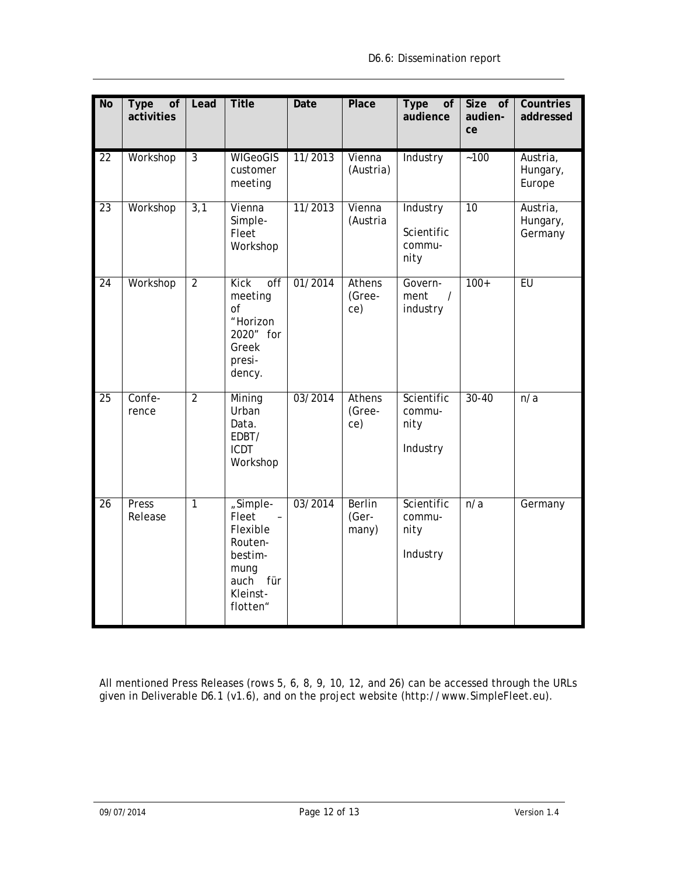| <b>No</b>       | <b>Type</b><br>of<br>activities | Lead           | <b>Title</b>                                                                                                                   | Date    | <b>Place</b>                    | <b>Type</b><br>of<br>audience            | Size of<br>audien-<br>ce | Countries<br>addressed          |
|-----------------|---------------------------------|----------------|--------------------------------------------------------------------------------------------------------------------------------|---------|---------------------------------|------------------------------------------|--------------------------|---------------------------------|
| 22              | Workshop                        | $\overline{3}$ | <b>WIGeoGIS</b><br>customer<br>meeting                                                                                         | 11/2013 | Vienna<br>(Austria)             | Industry                                 | $-100$                   | Austria,<br>Hungary,<br>Europe  |
| 23              | Workshop                        | 3,1            | Vienna<br>Simple-<br>Fleet<br>Workshop                                                                                         | 11/2013 | Vienna<br>(Austria              | Industry<br>Scientific<br>commu-<br>nity | 10                       | Austria,<br>Hungary,<br>Germany |
| 24              | Workshop                        | $\overline{2}$ | <b>Kick</b><br>off<br>meeting<br>of<br>"Horizon<br>2020" for<br>Greek<br>presi-<br>dency.                                      | 01/2014 | <b>Athens</b><br>(Gree-<br>ce)  | Govern-<br>ment<br>$\prime$<br>industry  | $100+$                   | EU                              |
| 25              | Confe-<br>rence                 | $\overline{2}$ | Mining<br>Urban<br>Data.<br>EDBT/<br><b>ICDT</b><br>Workshop                                                                   | 03/2014 | <b>Athens</b><br>(Gree-<br>ce)  | Scientific<br>commu-<br>nity<br>Industry | $30 - 40$                | n/a                             |
| $\overline{26}$ | Press<br>Release                | $\overline{1}$ | "Simple-<br>Fleet<br>$\overline{\phantom{a}}$<br>Flexible<br>Routen-<br>bestim-<br>mung<br>auch<br>für<br>Kleinst-<br>flotten" | 03/2014 | <b>Berlin</b><br>(Ger-<br>many) | Scientific<br>commu-<br>nity<br>Industry | n/a                      | Germany                         |

All mentioned Press Releases (rows 5, 6, 8, 9, 10, 12, and 26) can be accessed through the URLs given in Deliverable D6.1 (v1.6), and on the project website (http://www.SimpleFleet.eu).